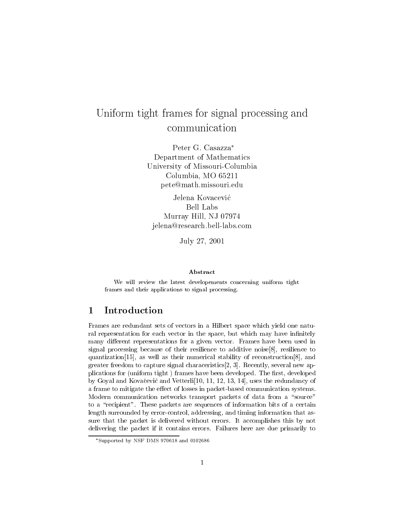# Uniform tight frames for signal processing and processing and processing and  $\alpha$ communication

Peter G. Casazza\* Department of Mathematics University of Missouri-Columbia  $\cup$   $\cup$   $\ldots$   $\cup$   $\cup$   $\ldots$   $\cup$   $\cup$   $\ldots$   $\cup$   $\ldots$   $\cup$ pete@math.missouri.edu

Jelena Kovacevic Bell Labs  $\ldots$ jelena@research.bell-labs.com

 $J_{\text{max}}$ ,  $\frac{1}{2}$ ,  $\frac{1}{2}$ ,  $\frac{1}{2}$ 

### Abstract

 $\mathcal{W}$  review the latest developements concerning uniform tight tight time  $\mathcal{W}$ frames and their applications to signal processing

#### 1 Introduction \_\_

Frames are redundant sets of vectors in a Hilbert space which yield one natu ral representation for each vector in the space but which may have in-nitely many different representations for a given vector. Frames have been used in signal processing because of their resilience to additive noise  $[8]$ , resilience to quantization [15], as well as their numerical stability of reconstruction  $[8]$ , and greater freedom to capture signal characteristics, will approach the most many several  $\mathcal{R}$ plications for the production  $\mathcal{L}_{\mathbf{Q}}$  is defined to develop the second the - and the - and - and - and - and - and - and - and - and - and - and - and - and - and - and - and - and - and - and - and - and - and - an by Goyal and Kovacevic and Vetterli uses the redundancy of a frame to mitigate the effect of losses in packet-based communication systems. Modern communication networks transport packets of data from a "source" to a "recipient". These packets are sequences of information bits of a certain length surrounded by error-control, addressing, and timing information that assure that the packet is delivered without errors It accomplishes this by not delivering the packet if it contains errors Failures here are due primarily to

supported by NSF DMS 970018 and 0102080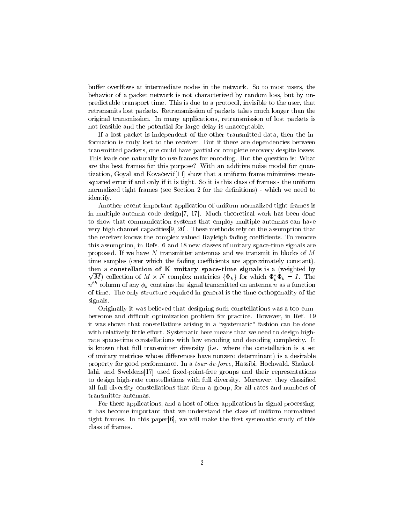buffer overlfows at intermediate nodes in the network. So to most users, the behavior of a packet network is not characterized by random loss, but by unpredictable transport time This is due to a protocol invisible to the user that retransmits lost packets Retransmission of packets takes much longer than the original transmission In many applications retransmission of lost packets is not feasible and the potential for large delay is unacceptable

If a lost packet is independent of the other transmitted data then the in formation is truly lost to the receiver. But if there are dependencies between transmitted packets one could have partial or complete recovery despite losses This leads one naturally to use frames for encoding. But the question is: What are the best frames for this purpose? With an additive noise model for quantization, Goyal and Kovačević [11] show that a uniform frame minimizes meansquared error if and only if it is tight. So it is this class of frames - the uniform normalized tight frames see Section for the de-nitions which we need to identify

Another recent important application of uniform normalized tight frames is in multiple-antenna code design  $[7, 17]$ . Much theoretical work has been done to show that communication systems that employ multiple antennas can have very high channel capacities These methods rely on the assumption that the receiver knows the complex valued Rayleigh fading coefficients. To remove this assumption, in Refs. 6 and 18 new classes of unitary space-time signals are proposed. If we have N transmitter antennas and we transmit in blocks of  $M$ time samples (over which the fading coefficients are approximately constant),  $\sqrt{M}$ ) collection of  $M \times N$  complex matricies  $\{\Phi_k\}$  for which  $\Phi_k^* \Phi_k = I$ . The then a constellation of  $K$  unitary space-time signals is a (weighted by  $n<sup>th</sup>$  column of any  $\phi_k$  contains the signal transmitted on antenna n as a function of time The only structure required in general is the timeorthogonality of the signals

Originally it was believed that designing such constellations was a too cum bersome and difficult optimization problem for practice. However, in Ref. 19 it was shown that constellations arising in a "systematic" fashion can be done with relatively little effort. Systematic here means that we need to design highrate space-time constellations with low encoding and decoding complexity. It is known that full transmitter diversity (i.e. where the constellation is a set of unitary metrices whose differences have nonzero determinant) is a desirable property for good performance. In a tour-de-force, Hassibi, Hochwald, Shokrollahi and Sweldens used -xedpointfree groups and their representations to design highrate constellations with full diversity Moreover they classi-ed all full-diversity constellations that form a group, for all rates and numbers of transmitter antennas

For these applications and a host of other applications in signal processing it has become important that we understand the class of uniform normalized tight frames In this paper we will make the  $r$  systematic study of the -  $r$ class of frames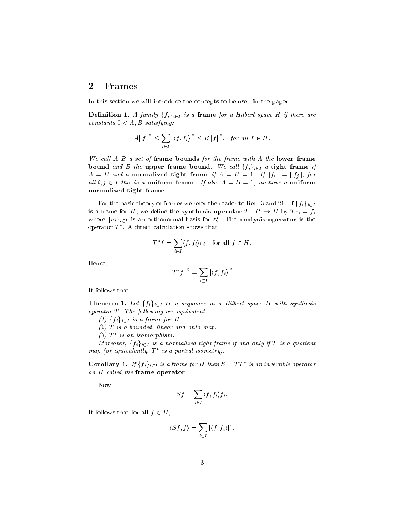#### $\bf{2}$ Frames

In this section we will introduce the concepts to be used in the paper

**Definition 1.** A family  $\{f_i\}_{i\in I}$  is a frame for a Hilbert space H if there are satisfying the satisfying the satisfying the satisfying the satisfying the satisfying the satisfying the satisfying the satisfying the satisfying the satisfying the satisfying the satisfying the satisfying the satisfying t

$$
A||f||^2 \le \sum_{i \in I} |\langle f, f_i \rangle|^2 \le B||f||^2, \text{ for all } f \in H.
$$

we call the form of frame bounds for the frame with A the frame with the lower frame with  $\alpha$ bound and B the upper frame bound. We call  $\{f_i\}_{i\in I}$  a tight frame if  $A = B$  and a normalized tight frame if  $A = B = 1$ . If  $||f_i|| = ||f_j||$ , for all  $i, j \in I$  this is a uniform frame. If also  $A = B = I$ , we have a uniform normalized tight frame-

For the basic theory of frames we refer the reader to Ref. 3 and 21. If  $\{f_i\}_{i\in I}$ is a frame for H, we define the synthesis operator  $T: \ell_2^* \to H$  by  $Te_i = f_i$ where  $\{e_i\}_{i\in I}$  is an orthonormal basis for  $\ell_2^I$ . The **analysis operator** is the operator  $I$  . A direct calculation shows that

$$
T^*f = \sum_{i \in I} \langle f, f_i \rangle e_i, \text{ for all } f \in H.
$$

Hence

$$
||T^*f||^2 = \sum_{i \in I} |\langle f, f_i \rangle|^2.
$$

It follows that

**Theorem 1.** Let  $\{f_i\}_{i\in I}$  be a sequence in a Hilbert space H with synthesis operator T - The following are equivalent

 $f(i)$  { $f_i$ } $_{i \in I}$  is a frame for H.

 $(2)$  T is a bounded, linear and onto map

 $\left( \beta \right)$  1  $\alpha$  is an isomorphism.

Moreover,  $\{f_i\}_{i\in I}$  is a normalized tight frame if and only if T is a quotient  $map$  (or equivalently,  $\perp$  is a partial isometry).

**Corollary 1.** If  $\{f_i\}_{i\in I}$  is a frame for H then  $S = TT^*$  is an invertible operator on  $H$  called the frame operator.

Now

$$
Sf = \sum_{i \in I} \langle f, f_i \rangle f_i.
$$

It follows that for all  $f \in H$ ,

$$
\langle Sf, f \rangle = \sum_{i \in I} |\langle f, f_i \rangle|^2.
$$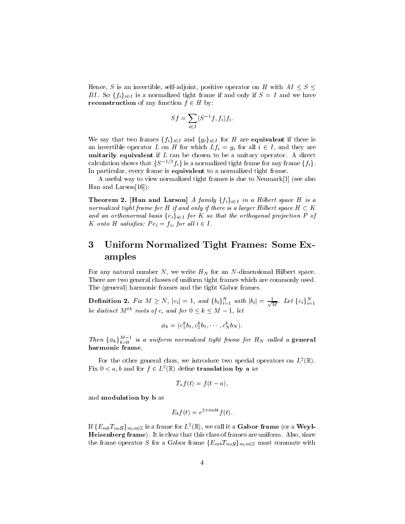Hence, S is an invertible, self-adjoint, positive operator on H with  $AI \leq S \leq$ BI. So  $\{f_i\}_{i\in I}$  is a normalized tight frame if and only if  $S = I$  and we have **reconstruction** of any function  $f \in H$  by:

$$
Sf = \sum_{i \in I} \langle S^{-1}f, f_i \rangle f_i.
$$

We say that two frames  $\{f_i\}_{i\in I}$  and  $\{g_i\}_{i\in I}$  for H are **equivalent** if there is an invertible operator L on H for which  $Lf_i = g_i$  for all  $i \in I$ , and they are unitarily equivalent if L can be chosen to be a unitary operator  $\sim$  and  $\sim$ calculation shows that  $\{S^{-1/2}f_i\}$  is a normalized tight frame for any frame  $\{f_i\}$ . In particular, every frame is equivalent to a normalized tight frame.

A useful way to view normalized tight frames is due to Neumark [1] (see also Han and Larson $[16]$ :

Theorem 2. [Han and Larson] A family  $\{f_i\}_{i\in I}$  in a Hilbert space H is a normalized tight frame for H if and only if there is a larger Hilbert space  $H \subset K$ and an orthonormal basis  $\{e_i\}_{i\in I}$  for K so that the orthogonal projection P of K onto H satisfies:  $Pe_i = f_i$ , for all  $i \in I$ .

### 3 Uniform Normalized Tight Frames: Some Examples

For any natural number N, we write  $H_N$  for an N-dimensional Hilbert space. There are two general classes of uniform tight frames which are commonly used The (general) harmonic frames and the tight Gabor frames.

**Definition 2.** Fix  $M \ge N$ ,  $|c_i| = 1$ , and  $\{b_i\}_{i=1}^N$  with  $|b_i| = \frac{1}{\sqrt{M}}$ . Let  $\{c_i\}_{i=1}^N$ be distinct  $M^{th}$  roots of c, and for  $0 \leq k \leq M - 1$ , let

$$
\phi_k = (c_1^k b_1, c_2^k b_2, \cdots, c_N^k b_N).
$$

Then  $\{\phi_k\}_{k=0}^{M-1}$  is a uniform normalized tight frame for  $H_N$  called a general harmonic frame.

For the other general class, we introduce two special operators on  $L$  (K). Fix  $0 < a, b$  and for  $f \in L^2(\mathbb{R})$  define translation by a as

$$
T_a f(t) = f(t-a),
$$

and modulation by <sup>b</sup> as

$$
E_b f(t) = e^{2\pi i mbt} f(t).
$$

If  $\{E_{mb}T_{na}g\}_{m,n\in\mathbb{Z}}$  is a frame for  $L^2(\mathbb{R}),$  we call it a  ${\bf Gabor~frame}$  (or a  ${\bf Weyl}$ -Heisenberg frame). It is clear that this class of frames are uniform. Also, since the frame operator S for a Gabor frame  $\{E_{mb}T_{na}g\}_{m,n\in\mathbb{Z}}$  must commute with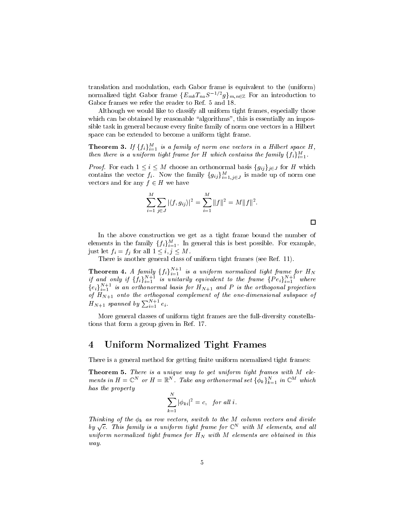translation and modulation, each Gabor frame is equivalent to the (uniform) normalized tight Gabor frame  ${E_{mb}}{T_{na}}S^{-1/2}g_{m,n\in\mathbb{Z}}$  For an introduction to Gabor frames we refer the reader to Ref. 5 and 18.

Although we would like to classify all uniform tight frames, especially those which can be obtained by reasonable "algorithms", this is essentially an impossible task in general because every -nite family of norm one vectors in a Hilbert space can be extended to become a uniform tight frame

**Theorem 3.** If  $\{f_i\}_{i=1}^M$  is a family of norm one vectors in a Hilbert space H, then there is a uniform tight frame for H which contains the family  $\{f_i\}_{i=1}^M$ .

*Proof.* For each  $1 \leq i \leq M$  choose an orthonormal basis  $\{g_{ij}\}_{j\in J}$  for H which contains the vector  $f_i$ . Now the family  $\{g_{ij}\}_{i=1,j\in J}^M$  is made up of norm one vectors and for any  $f \in H$  we have

$$
\sum_{i=1}^{M} \sum_{j \in J} |\langle f, g_{ij} \rangle|^2 = \sum_{i=1}^{M} ||f||^2 = M ||f||^2.
$$

 $\Box$ 

In the above construction we get as a tight frame bound the number of elements in the family  $\{f_i\}_{i=1}^M$ . In general this is best possible. For example, just let  $f_i = f_j$  for all  $1 \leq i, j \leq M$ .

There is another general class of uniform tight frames (see Ref. 11).

**Theorem 4.** A family  $\{f_i\}_{i=1}^{N+1}$  is a uniform normalized tight frame for  $H_N$  if and only if  $\{f_i\}_{i=1}^{N+1}$  is unitarily equivalent to the frame  $\{Pe_i\}_{i=1}^{N+1}$  where  $\{e_i\}_{i=1}^{N+1}$  is an orthonormal basis for  $H_{N+1}$  and  $P$  is the orthogonal projection of  $H_{N+1}$  onto the orthogonal complement of the one-dimensional subspace of  $H_{N+1}$  spanned by  $\sum_{i=1}^{N+1} e_i$ .

More general classes of uniform tight frames are the full-diversity constellations that form a group given in Ref

#### $\overline{4}$ Uniform Normalized Tight Frames

There is a general method for getting -nite uniform normalized tight frames

**THEOREM 0.** There is a unique way to get uniform tight frames with  $M$  elements in  $H = \mathbb{C}^N$  or  $H = \mathbb{R}^N$ . Take any orthonormal set  $\{\phi_k\}_{k=1}^N$  in  $\mathbb{C}^M$  which has the property

$$
\sum_{k=1}^{N} |\phi_{ki}|^2 = c, \quad \text{for all } i.
$$

Thinking of the  $\phi_k$  as row vectors, switch to the M column vectors and divide by  $\sqrt{c}$ . This family is a uniform tight frame for  $\mathbb{C}^N$  with M elements, and all uniform normalized tight frames for  $H_N$  with M elements are obtained in this way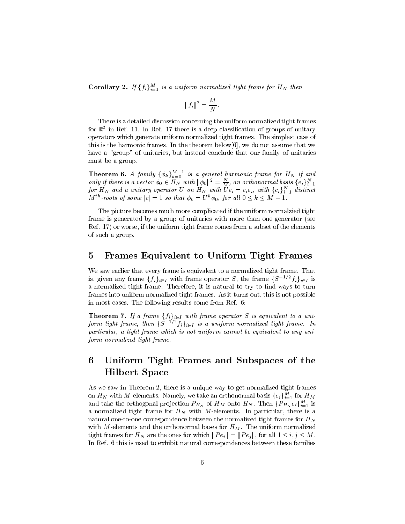**Corollary 2.** If  $\{f_i\}_{i=1}^M$  is a uniform normalized tight frame for  $H_N$  then

$$
||f_i||^2 = \frac{M}{N}.
$$

There is a detailed discussion concerning the uniform normalized tight frames for its in Ref. II. In Ref. I*t* there is a deep classification of groups of unitary operators which generate uniform normalized tight frames The simplest case of this is the harmonic frames. In the theorem below  $[6]$ , we do not assume that we have a "group" of unitaries, but instead conclude that our family of unitaries must be a group

**Theorem 6.** A family  $\{\phi_k\}_{k=0}^{M-1}$  is a general harmonic frame for  $H_N$  if and<br>only if there is a vector  $\phi_0 \in H_N$  with  $\|\phi_0\|^2 = \frac{N}{M}$ , an orthonormal basis  $\{e_i\}_{i=1}^N$ <br>for  $H_N$  and a unitary operator U on  $H$ 

The picture becomes much more complicated if the uniform normalzied tight frame is generated by a group of unitaries with more than one generator (see Ref. 17) or worse, if the uniform tight frame comes from a subset of the elements of such a group

#### $\overline{5}$ Frames Equivalent to Uniform Tight Frames

We saw earlier that every frame is equivalent to a normalized tight frame. That is, given any frame  $\{f_i\}_{i\in I}$  with frame operator S, the frame  $\{S^{-1/2}f_i\}_{i\in I}$  is a normalized tight frame Therefore it is natural to try to -nd ways to turn frames into uniform normalized tight frames. As it turns out, this is not possible in most cases. The following results come from Ref. 6:

**Theorem 7.** If a frame  $\{f_i\}_{i\in I}$  with frame operator S is equivalent to a uniform tight frame, then  $\{S^{-1/2}f_i\}_{i\in I}$  is a uniform normalized tight frame. In particular, a tight frame which is not uniform cannot be equivalent to any uniform normalized tight frame.

### 6 Uniform Tight Frames and Subspaces of the Hilbert Space

as we saw in Theorem I, which is a unique way to give morninged tight frames to get on  $H_N$  with M-elements. Namely, we take an orthonormal basis  $\{e_i\}_{i=1}^M$  for  $H_M$ and take the orthogonal projection  $P_{H_N}$  of  $H_M$  onto  $H_N$ . Then  $\{P_{H_N}e_i\}_{i=1}^M$  is and the normalized tight frame for  $\mathbf{H}$  with  $\mathbf{H}$  with  $\mathbf{H}$  with  $\mathbf{H}$  and  $\mathbf{H}$  are is a set of  $\mathbf{H}$ natural one-to-one correspondence between the normalized tight frames for  $H_N$ with M-elements and the orthonormal bases for  $H_M$ . The uniform normalized tight frames for  $H_N$  are the ones for which  $||Pe_i|| = ||Pe_j||$ , for all  $1 \le i, j \le M$ . In Ref. 6 this is used to exhibit natural correspondences between these families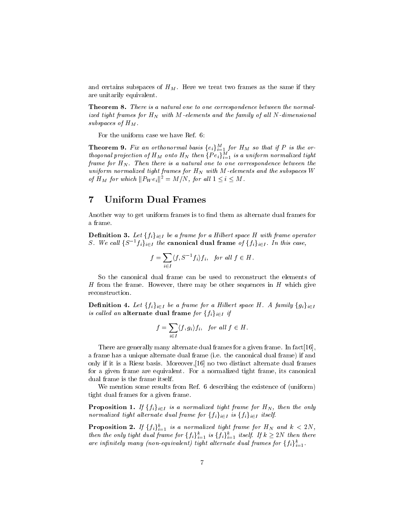and certains subspaces of  $H_M$ . Here we treat two frames as the same if they are unitarily equivalent

**THEOREM 6.** There is a natural one to one correspondence between the normalized tight frames for  $H_N$  with M-elements and the family of all N-dimensional subspaces of  $H_M$ .

For the uniform case we have Ref

**Theorem 9.** Fix an orthonormal basis  $\{e_i\}_{i=1}^M$  for  $H_M$  so that if  $P$  is the orthogonal projection of  $H_M$  onto  $H_N$  then  $\{Pe_i\}_{i=1}^M$  is a uniform normalized tight frame for HN - Then there is a natural one to one correspondence between the uniform normalized tight frames for  $H_N$  with M-elements and the subspaces W of  $H_M$  for which  $||P_W e_i||^2 = M/N$ , for all  $1 \le i \le M$ .

#### $\bf 7$ Uniform Dual Frames

Another way to get uniform frames is to -nd them as alternate dual frames for a frame

**Definition 3.** Let  $\{f_i\}_{i\in I}$  be a frame for a Hilbert space H with frame operator S. We call  $\{S^{-1}f_i\}_{i\in I}$  the canonical dual frame of  $\{f_i\}_{i\in I}$ . In this case,

$$
f = \sum_{i \in I} \langle f, S^{-1} f_i \rangle f_i, \text{ for all } f \in H.
$$

So the canonical dual frame can be used to reconstruct the elements of H from the frame. However, there may be other sequences in  $H$  which give reconstruction

**Definition 4.** Let  $\{f_i\}_{i\in I}$  be a frame for a Hilbert space H. A family  $\{g_i\}_{i\in I}$ is called an alternate dual frame for  $\{f_i\}_{i\in I}$  if

$$
f = \sum_{i \in I} \langle f, g_i \rangle f_i, \text{ for all } f \in H.
$$

There are generally many alternate dual frames for a given frame. In fact  $[16]$ , a frame has a unique alternate dual frame (i.e. the canonical dual frame) if and only if it is a Riesz basis. Moreover,  $[16]$  no two distinct alternate dual frames for a given frame are equivalent. For a normalized tight frame, its canonical dual frame is the frame itself

We mention some results from Ref. 6 describing the existence of (uniform) tight dual frames for a given frame

**Proposition 1.** If  $\{f_i\}_{i\in I}$  is a normalized tight frame for  $H_N$ , then the only normalized tight alternate dual frame for  $\{f_i\}_{i\in I}$  is  $\{f_i\}_{i\in I}$  itself.

**Proposition 2.** If  $\{f_i\}_{i=1}^k$  is a normalized tight frame for  $H_N$  and  $k < 2N$ , then the only tight dual frame for  $\{f_i\}_{i=1}^k$  is  $\{f_i\}_{i=1}^k$  itself. If  $k \geq 2N$  then there are infinitely many (non-equivalent) tight alternate dual frames for  $\{f_i\}_{i=1}^k$ .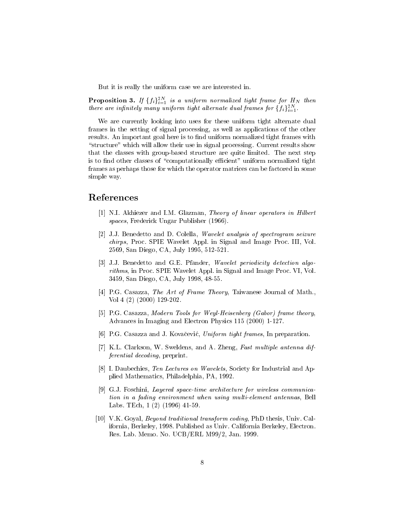But it is really the uniform case we are interested in

**Proposition 3.** If  $\{f_i\}_{i=1}^{2N}$  is a uniform normalized tight frame for  $H_N$  then there are infinitely many uniform tight alternate dual frames for  $\{f_i\}_{i=1}^{2N}$ .

We are currently looking into uses for these uniform tight alternate dual frames in the setting of signal processing, as well as applications of the other results An important goal here is to -nd uniform normalized tight frames with "structure" which will allow their use in signal processing. Current results show that the classes with group-based structure are quite limited. The next step is to -nd other classes of computationally ecient uniform normalized tight frames as perhaps those for which the operator matrices can be factored in some simple way

## References

- [1] N.I. Akhiezer and I.M. Glazman, Theory of linear operators in Hilbert spaces, Frederick Ungar Publisher (1966).
- JJ Benedetto and D Colella Wavelet analysis of spectrogram seizure chirps, Proc. SPIE Wavelet Appl. in Signal and Image Proc. III, Vol. san Diego Carry Carry and Carry and Carry and Carry and Carry and Carry and Carry and Carry and Carry and Carry and Carry and Carry and Carry and Carry and Carry and Carry and Carry and Carry and Carry and Carry and Carry
- [3] J.J. Benedetto and G.E. Pfander, *Wavelet periodicity detection algo*rithms, in Proc. SPIE Wavelet Appl. in Signal and Image Proc. VI, Vol. 3459, San Diego, CA, July 1998, 48-55.
- [4] P.G. Casazza, The Art of Frame Theory, Taiwanese Journal of Math.,  $\mathcal{V}$  voltage  $\mathcal{V}$  voltage  $\mathcal{V}$
- [5] P.G. Casazza, Modern Tools for Weyl-Heisenberg (Gabor) frame theory, Advances in Imaging and Electron Physics
- [6] P.G. Casazza and J. Kovačević, Uniform tight frames, In preparation.
- [7] K.L. Clarkson, W. Sweldens, and A. Zheng, Fast multiple antenna differential decoding, preprint.
- [8] I. Daubechies, Ten Lectures on Wavelets, Society for Industrial and Applied Mathematics, Philadelphia, PA, 1992.
- [9] G.J. Foschini, Layered space-time architecture for wireless communication in a fading environment when using multi-element antennas, Bell Labs TEch
- [10] V.K. Goyal, *Beyond traditional transform coding*, PhD thesis, Univ. California, Berkeley, 1998. Published as Univ. California Berkeley, Electron. Resource Andrews Andrew Company Andrew Agency Andrew Article (1982)